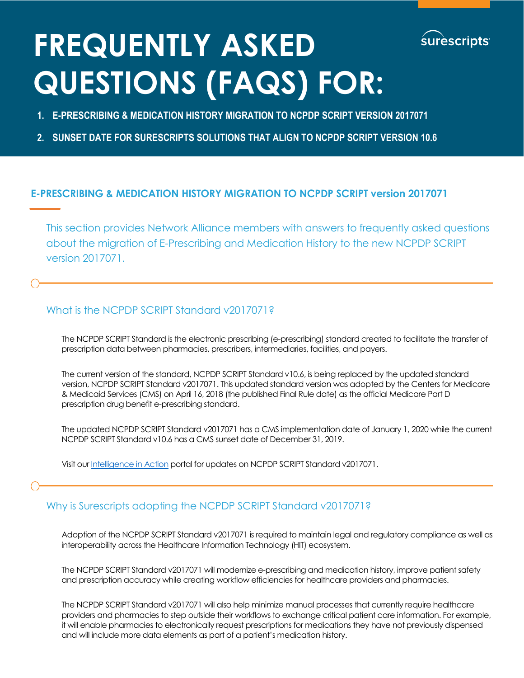

# **FREQUENTLY ASKED QUESTIONS (FAQS) FOR:**

- **1. E-PRESCRIBING & MEDICATION HISTORY MIGRATION TO NCPDP SCRIPT VERSION 2017071**
- **2. SUNSET DATE FOR SURESCRIPTS SOLUTIONS THAT ALIGN TO NCPDP SCRIPT VERSION 10.6**

#### **E-PRESCRIBING & MEDICATION HISTORY MIGRATION TO NCPDP SCRIPT version 2017071**

This section provides Network Alliance members with answers to frequently asked questions about the migration of E-Prescribing and Medication History to the new NCPDP SCRIPT version 2017071.

#### What is the NCPDP SCRIPT Standard v2017071?

The NCPDP SCRIPT Standard is the electronic prescribing (e-prescribing) standard created to facilitate the transfer of prescription data between pharmacies, prescribers, intermediaries, facilities, and payers.

The current version of the standard, NCPDP SCRIPT Standard v10.6, is being replaced by the updated standard version, NCPDP SCRIPT Standard v2017071. This updated standard version was adopted by the Centers for Medicare & Medicaid Services (CMS) on April 16, 2018 (the published Final Rule date) as the official Medicare Part D prescription drug benefit e-prescribing standard.

The updated NCPDP SCRIPT Standard v2017071 has a CMS implementation date of January 1, 2020 while the current NCPDP SCRIPT Standard v10.6 has a CMS sunset date of December 31, 2019.

Visit ou[r Intelligence in Action](http://surescripts.com/news-center/intelligence-in-action/) portal for updates on NCPDP SCRIPT Standard v2017071.

#### Why is Surescripts adopting the NCPDP SCRIPT Standard v2017071?

Adoption of the NCPDP SCRIPT Standard v2017071 is required to maintain legal and regulatory compliance as well as interoperability across the Healthcare Information Technology (HIT) ecosystem.

The NCPDP SCRIPT Standard v2017071 will modernize e-prescribing and medication history, improve patient safety and prescription accuracy while creating workflow efficiencies for healthcare providers and pharmacies.

The NCPDP SCRIPT Standard v2017071 will also help minimize manual processes that currently require healthcare providers and pharmacies to step outside their workflows to exchange critical patient care information. For example, it will enable pharmacies to electronically request prescriptions for medications they have not previously dispensed and will include more data elements as part of a patient's medication history.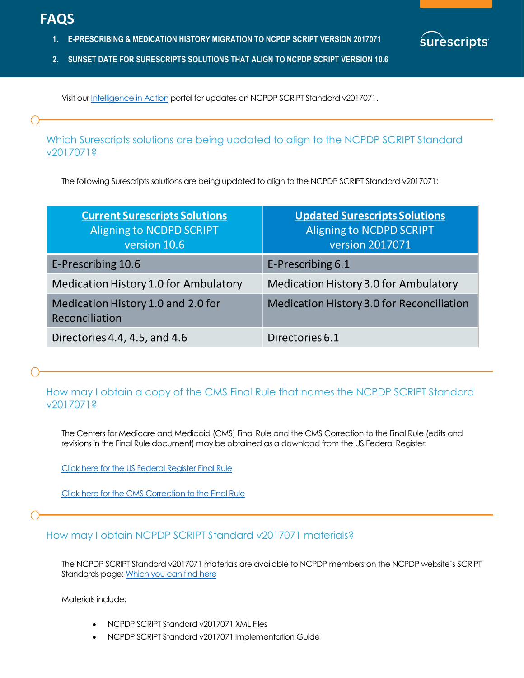- **1. E-PRESCRIBING & MEDICATION HISTORY MIGRATION TO NCPDP SCRIPT VERSION 2017071**
- **2. SUNSET DATE FOR SURESCRIPTS SOLUTIONS THAT ALIGN TO NCPDP SCRIPT VERSION 10.6**

Visit ou[r Intelligence in Action](http://surescripts.com/news-center/intelligence-in-action/) portal for updates on NCPDP SCRIPT Standard v2017071.

Which Surescripts solutions are being updated to align to the NCPDP SCRIPT Standard v2017071?

2

*surescripts* 

The following Surescripts solutions are being updated to align to the NCPDP SCRIPT Standard v2017071:

| <b>Current Surescripts Solutions</b><br><b>Aligning to NCDPD SCRIPT</b><br>version 10.6 | <b>Updated Surescripts Solutions</b><br><b>Aligning to NCDPD SCRIPT</b><br>version 2017071 |
|-----------------------------------------------------------------------------------------|--------------------------------------------------------------------------------------------|
| E-Prescribing 10.6                                                                      | E-Prescribing 6.1                                                                          |
| Medication History 1.0 for Ambulatory                                                   | Medication History 3.0 for Ambulatory                                                      |
| Medication History 1.0 and 2.0 for<br>Reconciliation                                    | Medication History 3.0 for Reconciliation                                                  |
| Directories 4.4, 4.5, and 4.6                                                           | Directories 6.1                                                                            |

## How may I obtain a copy of the CMS Final Rule that names the NCPDP SCRIPT Standard v2017071?

The Centers for Medicare and Medicaid (CMS) Final Rule and the CMS Correction to the Final Rule (edits and revisions in the Final Rule document) may be obtained as a download from the US Federal Register:

[Click here for the US Federal Register Final Rule](https://www.federalregister.gov/documents/2018/04/16/2018-07179/medicare-program-contract-year-2019-policy-and-technical-changes-to-the-medicare-advantage-medicare)

[Click here for the CMS Correction to the Final Rule](https://www.federalregister.gov/documents/2018/06/15/2018-12843/medicare-program-medicare-program-contract-year-2019-policy-and-technical-changes-to-the-medicare)

#### How may I obtain NCPDP SCRIPT Standard v2017071 materials?

The NCPDP SCRIPT Standard v2017071 materials are available to NCPDP members on the NCPDP website's SCRIPT Standards page: [Which you can find here](http://ncpdp.org/Members/Standards-Lookup/)

Materials include:

- NCPDP SCRIPT Standard v2017071 XML Files
- NCPDP SCRIPT Standard v2017071 Implementation Guide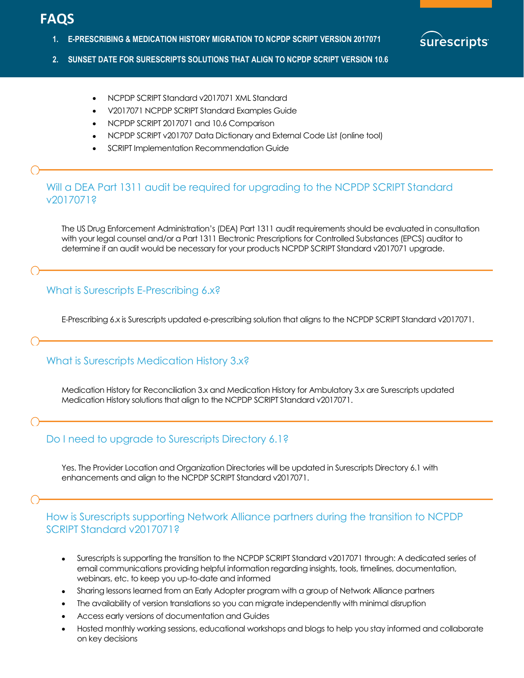**1. E-PRESCRIBING & MEDICATION HISTORY MIGRATION TO NCPDP SCRIPT VERSION 2017071** 



3

- **2. SUNSET DATE FOR SURESCRIPTS SOLUTIONS THAT ALIGN TO NCPDP SCRIPT VERSION 10.6**
	- NCPDP SCRIPT Standard v2017071 XML Standard
	- V2017071 NCPDP SCRIPT Standard Examples Guide
	- NCPDP SCRIPT 2017071 and 10.6 Comparison
	- NCPDP SCRIPT v201707 Data Dictionary and External Code List (online tool)
	- SCRIPT Implementation Recommendation Guide

#### Will a DEA Part 1311 audit be required for upgrading to the NCPDP SCRIPT Standard v2017071?

The US Drug Enforcement Administration's (DEA) Part 1311 audit requirements should be evaluated in consultation with your legal counsel and/or a Part 1311 Electronic Prescriptions for Controlled Substances (EPCS) auditor to determine if an audit would be necessary for your products NCPDP SCRIPT Standard v2017071 upgrade.

#### What is Surescripts E-Prescribing 6.x?

E-Prescribing 6.x is Surescripts updated e-prescribing solution that aligns to the NCPDP SCRIPT Standard v2017071.

#### What is Surescripts Medication History 3.x?

Medication History for Reconciliation 3.x and Medication History for Ambulatory 3.x are Surescripts updated Medication History solutions that align to the NCPDP SCRIPT Standard v2017071.

#### Do I need to upgrade to Surescripts Directory 6.1?

Yes. The Provider Location and Organization Directories will be updated in Surescripts Directory 6.1 with enhancements and align to the NCPDP SCRIPT Standard v2017071.

#### How is Surescripts supporting Network Alliance partners during the transition to NCPDP SCRIPT Standard v2017071?

- Surescripts is supporting the transition to the NCPDP SCRIPT Standard v2017071 through: A dedicated series of email communications providing helpful information regarding insights, tools, timelines, documentation, webinars, etc. to keep you up-to-date and informed
- Sharing lessons learned from an Early Adopter program with a group of Network Alliance partners
- The availability of version translations so you can migrate independently with minimal disruption
- Access early versions of documentation and Guides
- Hosted monthly working sessions, educational workshops and blogs to help you stay informed and collaborate on key decisions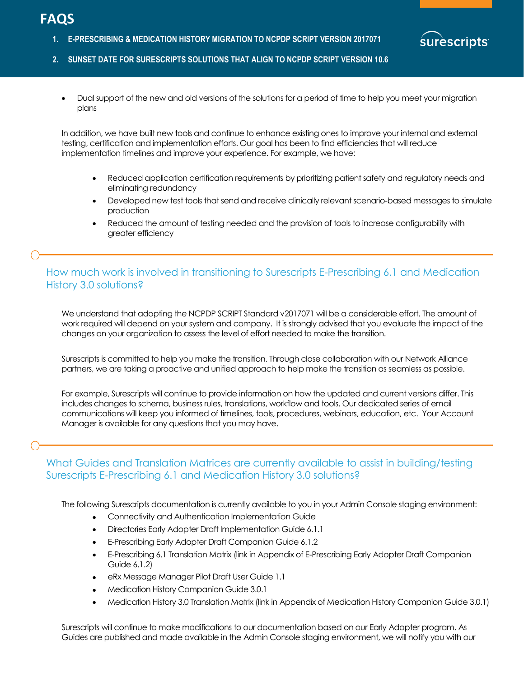**1. E-PRESCRIBING & MEDICATION HISTORY MIGRATION TO NCPDP SCRIPT VERSION 2017071** 



4

- **2. SUNSET DATE FOR SURESCRIPTS SOLUTIONS THAT ALIGN TO NCPDP SCRIPT VERSION 10.6**
	- Dual support of the new and old versions of the solutions for a period of time to help you meet your migration plans

In addition, we have built new tools and continue to enhance existing ones to improve your internal and external testing, certification and implementation efforts. Our goal has been to find efficiencies that will reduce implementation timelines and improve your experience. For example, we have:

- Reduced application certification requirements by prioritizing patient safety and regulatory needs and eliminating redundancy
- Developed new test tools that send and receive clinically relevant scenario-based messages to simulate production
- Reduced the amount of testing needed and the provision of tools to increase configurability with greater efficiency

#### How much work is involved in transitioning to Surescripts E-Prescribing 6.1 and Medication History 3.0 solutions?

We understand that adopting the NCPDP SCRIPT Standard v2017071 will be a considerable effort. The amount of work required will depend on your system and company. It is strongly advised that you evaluate the impact of the changes on your organization to assess the level of effort needed to make the transition.

Surescripts is committed to help you make the transition. Through close collaboration with our Network Alliance partners, we are taking a proactive and unified approach to help make the transition as seamless as possible.

For example, Surescripts will continue to provide information on how the updated and current versions differ. This includes changes to schema, business rules, translations, workflow and tools. Our dedicated series of email communications will keep you informed of timelines, tools, procedures, webinars, education, etc. Your Account Manager is available for any questions that you may have.

#### What Guides and Translation Matrices are currently available to assist in building/testing Surescripts E-Prescribing 6.1 and Medication History 3.0 solutions?

The following Surescripts documentation is currently available to you in your Admin Console staging environment:

- Connectivity and Authentication Implementation Guide
- Directories Early Adopter Draft Implementation Guide 6.1.1
- E-Prescribing Early Adopter Draft Companion Guide 6.1.2
- E-Prescribing 6.1 Translation Matrix (link in Appendix of E-Prescribing Early Adopter Draft Companion Guide 6.1.2)
- eRx Message Manager Pilot Draft User Guide 1.1
- Medication History Companion Guide 3.0.1
- Medication History 3.0 Translation Matrix (link in Appendix of Medication History Companion Guide 3.0.1)

Surescripts will continue to make modifications to our documentation based on our Early Adopter program. As Guides are published and made available in the Admin Console staging environment, we will notify you with our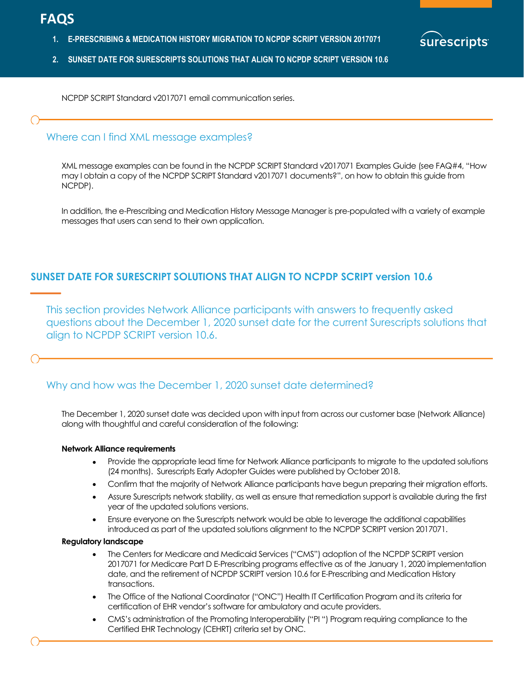**1. E-PRESCRIBING & MEDICATION HISTORY MIGRATION TO NCPDP SCRIPT VERSION 2017071** 



NCPDP SCRIPT Standard v2017071 email communication series.

#### Where can I find XML message examples?

XML message examples can be found in the NCPDP SCRIPT Standard v2017071 Examples Guide (see FAQ#4, "How may I obtain a copy of the NCPDP SCRIPT Standard v2017071 documents?", on how to obtain this guide from NCPDP).

5

**Irescripts** 

In addition, the e-Prescribing and Medication History Message Manager is pre-populated with a variety of example messages that users can send to their own application.

#### **SUNSET DATE FOR SURESCRIPT SOLUTIONS THAT ALIGN TO NCPDP SCRIPT version 10.6**

This section provides Network Alliance participants with answers to frequently asked questions about the December 1, 2020 sunset date for the current Surescripts solutions that align to NCPDP SCRIPT version 10.6.

#### Why and how was the December 1, 2020 sunset date determined?

The December 1, 2020 sunset date was decided upon with input from across our customer base (Network Alliance) along with thoughtful and careful consideration of the following:

#### **Network Alliance requirements**

- Provide the appropriate lead time for Network Alliance participants to migrate to the updated solutions (24 months). Surescripts Early Adopter Guides were published by October 2018.
- Confirm that the majority of Network Alliance participants have begun preparing their migration efforts.
- Assure Surescripts network stability, as well as ensure that remediation support is available during the first year of the updated solutions versions.
- Ensure everyone on the Surescripts network would be able to leverage the additional capabilities introduced as part of the updated solutions alignment to the NCPDP SCRIPT version 2017071.

#### **Regulatory landscape**

- The Centers for Medicare and Medicaid Services ("CMS") adoption of the NCPDP SCRIPT version 2017071 for Medicare Part D E-Prescribing programs effective as of the January 1, 2020 implementation date, and the retirement of NCPDP SCRIPT version 10.6 for E-Prescribing and Medication History transactions.
- The Office of the National Coordinator ("ONC") Health IT Certification Program and its criteria for certification of EHR vendor's software for ambulatory and acute providers.
- CMS's administration of the Promoting Interoperability ("PI ") Program requiring compliance to the Certified EHR Technology (CEHRT) criteria set by ONC.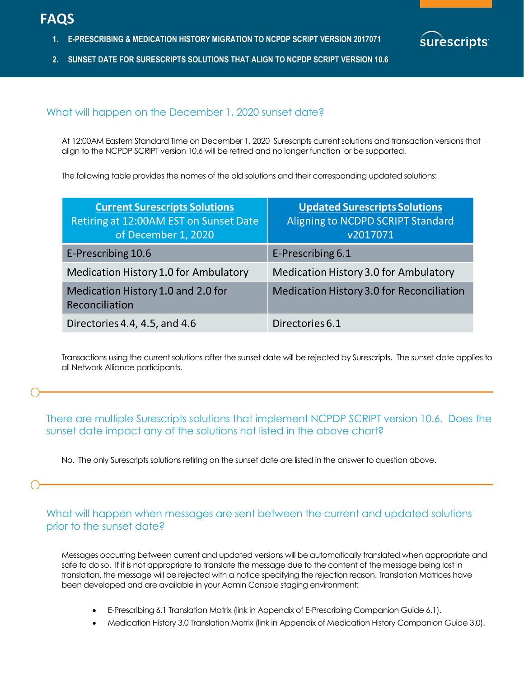- **1. E-PRESCRIBING & MEDICATION HISTORY MIGRATION TO NCPDP SCRIPT VERSION 2017071**
- **2. SUNSET DATE FOR SURESCRIPTS SOLUTIONS THAT ALIGN TO NCPDP SCRIPT VERSION 10.6**



6

#### What will happen on the December 1, 2020 sunset date?

At 12:00AM Eastern Standard Time on December 1, 2020 Surescripts current solutions and transaction versions that align to the NCPDP SCRIPT version 10.6 will be retired and no longer function or be supported.

The following table provides the names of the old solutions and their corresponding updated solutions:

| <b>Current Surescripts Solutions</b><br>Retiring at 12:00AM EST on Sunset Date<br>of December 1, 2020 | <b>Updated Surescripts Solutions</b><br>Aligning to NCDPD SCRIPT Standard<br>v2017071 |
|-------------------------------------------------------------------------------------------------------|---------------------------------------------------------------------------------------|
| E-Prescribing 10.6                                                                                    | E-Prescribing 6.1                                                                     |
| Medication History 1.0 for Ambulatory                                                                 | Medication History 3.0 for Ambulatory                                                 |
| Medication History 1.0 and 2.0 for<br>Reconciliation                                                  | <b>Medication History 3.0 for Reconciliation</b>                                      |
| Directories 4.4, 4.5, and 4.6                                                                         | Directories 6.1                                                                       |

Transactions using the current solutions after the sunset date will be rejected by Surescripts. The sunset date applies to all Network Alliance participants.

There are multiple Surescripts solutions that implement NCPDP SCRIPT version 10.6. Does the sunset date impact any of the solutions not listed in the above chart?

No. The only Surescripts solutions retiring on the sunset date are listed in the answer to question above.

What will happen when messages are sent between the current and updated solutions prior to the sunset date?

Messages occurring between current and updated versions will be automatically translated when appropriate and safe to do so. If it is not appropriate to translate the message due to the content of the message being lost in translation, the message will be rejected with a notice specifying the rejection reason. Translation Matrices have been developed and are available in your Admin Console staging environment:

- E-Prescribing 6.1 Translation Matrix (link in Appendix of E-Prescribing Companion Guide 6.1).
- Medication History 3.0 Translation Matrix (link in Appendix of Medication History Companion Guide 3.0).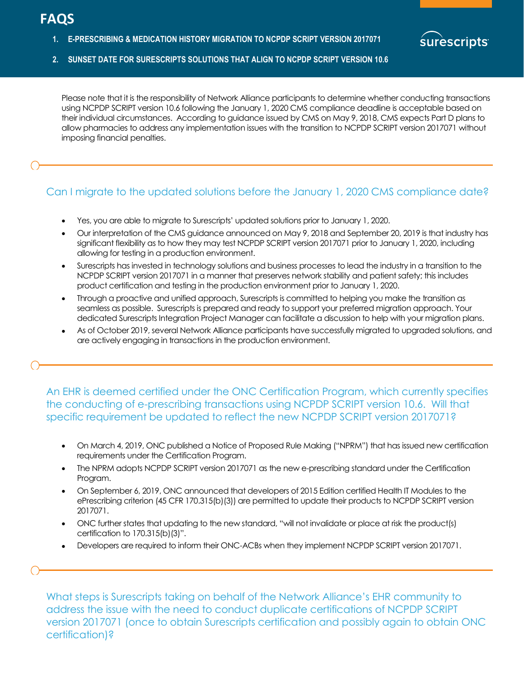**1. E-PRESCRIBING & MEDICATION HISTORY MIGRATION TO NCPDP SCRIPT VERSION 2017071** 



7

**2. SUNSET DATE FOR SURESCRIPTS SOLUTIONS THAT ALIGN TO NCPDP SCRIPT VERSION 10.6**

Please note that it is the responsibility of Network Alliance participants to determine whether conducting transactions using NCPDP SCRIPT version 10.6 following the January 1, 2020 CMS compliance deadline is acceptable based on their individual circumstances. According to guidance issued by CMS on May 9, 2018, CMS expects Part D plans to allow pharmacies to address any implementation issues with the transition to NCPDP SCRIPT version 2017071 without imposing financial penalties.

## Can I migrate to the updated solutions before the January 1, 2020 CMS compliance date?

- Yes, you are able to migrate to Surescripts' updated solutions prior to January 1, 2020.
- Our interpretation of the CMS guidance announced on May 9, 2018 and September 20, 2019 is that industry has significant flexibility as to how they may test NCPDP SCRIPT version 2017071 prior to January 1, 2020, including allowing for testing in a production environment.
- Surescripts has invested in technology solutions and business processes to lead the industry in a transition to the NCPDP SCRIPT version 2017071 in a manner that preserves network stability and patient safety; this includes product certification and testing in the production environment prior to January 1, 2020.
- Through a proactive and unified approach, Surescripts is committed to helping you make the transition as seamless as possible. Surescripts is prepared and ready to support your preferred migration approach. Your dedicated Surescripts Integration Project Manager can facilitate a discussion to help with your migration plans.
- As of October 2019, several Network Alliance participants have successfully migrated to upgraded solutions, and are actively engaging in transactions in the production environment.

An EHR is deemed certified under the ONC Certification Program, which currently specifies the conducting of e-prescribing transactions using NCPDP SCRIPT version 10.6. Will that specific requirement be updated to reflect the new NCPDP SCRIPT version 2017071?

- On March 4, 2019, ONC published a Notice of Proposed Rule Making ("NPRM") that has issued new certification requirements under the Certification Program.
- The NPRM adopts NCPDP SCRIPT version 2017071 as the new e-prescribing standard under the Certification Program.
- On September 6, 2019, ONC announced that developers of 2015 Edition certified Health IT Modules to the ePrescribing criterion (45 CFR 170.315(b)(3)) are permitted to update their products to NCPDP SCRIPT version 2017071.
- ONC further states that updating to the new standard, "will not invalidate or place at risk the product(s) certification to 170.315(b)(3)".
- Developers are required to inform their ONC-ACBs when they implement NCPDP SCRIPT version 2017071.

What steps is Surescripts taking on behalf of the Network Alliance's EHR community to address the issue with the need to conduct duplicate certifications of NCPDP SCRIPT version 2017071 (once to obtain Surescripts certification and possibly again to obtain ONC certification)?